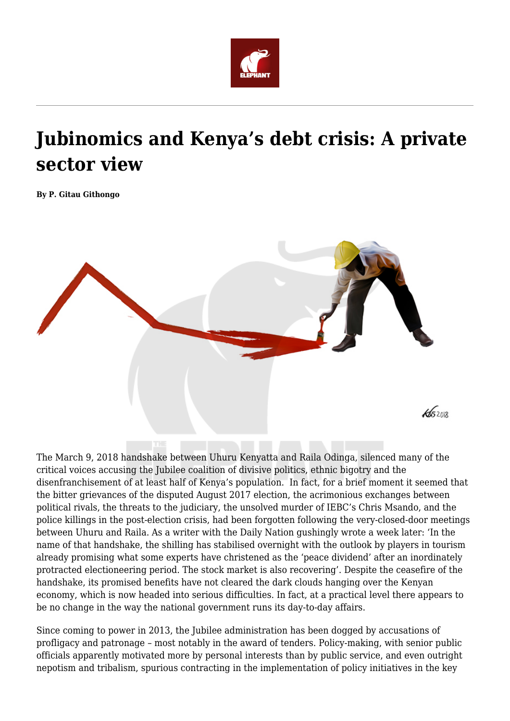

# **Jubinomics and Kenya's debt crisis: A private sector view**

**By P. Gitau Githongo**



The March 9, 2018 handshake between Uhuru Kenyatta and Raila Odinga, silenced many of the critical voices accusing the Jubilee coalition of divisive politics, ethnic bigotry and the disenfranchisement of at least half of Kenya's population. In fact, for a brief moment it seemed that the bitter grievances of the disputed August 2017 election, the acrimonious exchanges between political rivals, the threats to the judiciary, the unsolved murder of IEBC's Chris Msando, and the police killings in the post-election crisis, had been forgotten following the very-closed-door meetings between Uhuru and Raila. As a writer with the Daily Nation gushingly wrote a week later: 'In the name of that handshake, the shilling has stabilised overnight with the outlook by players in tourism already promising what some experts have christened as the 'peace dividend' after an inordinately protracted electioneering period. The stock market is also recovering'. Despite the ceasefire of the handshake, its promised benefits have not cleared the dark clouds hanging over the Kenyan economy, which is now headed into serious difficulties. In fact, at a practical level there appears to be no change in the way the national government runs its day-to-day affairs.

Since coming to power in 2013, the Jubilee administration has been dogged by accusations of profligacy and patronage – most notably in the award of tenders. Policy-making, with senior public officials apparently motivated more by personal interests than by public service, and even outright nepotism and tribalism, spurious contracting in the implementation of policy initiatives in the key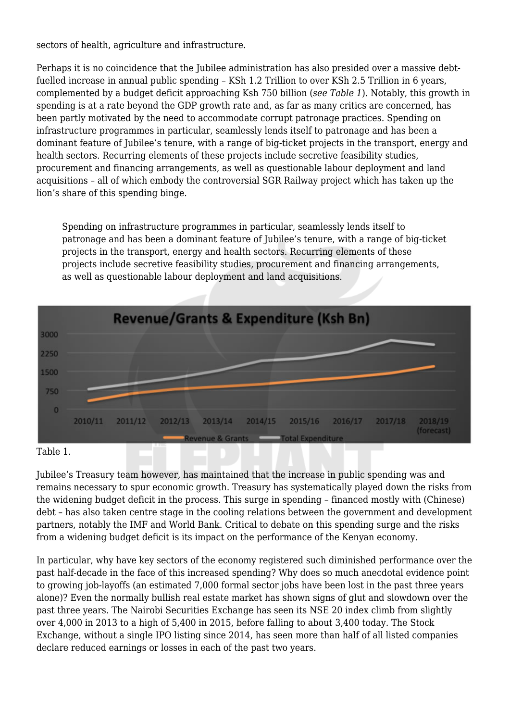sectors of health, agriculture and infrastructure.

Perhaps it is no coincidence that the Jubilee administration has also presided over a massive debtfuelled increase in annual public spending – KSh 1.2 Trillion to over KSh 2.5 Trillion in 6 years, complemented by a budget deficit approaching Ksh 750 billion (*see Table 1*). Notably, this growth in spending is at a rate beyond the GDP growth rate and, as far as many critics are concerned, has been partly motivated by the need to accommodate corrupt patronage practices. Spending on infrastructure programmes in particular, seamlessly lends itself to patronage and has been a dominant feature of Jubilee's tenure, with a range of big-ticket projects in the transport, energy and health sectors. Recurring elements of these projects include secretive feasibility studies, procurement and financing arrangements, as well as questionable labour deployment and land acquisitions – all of which embody the controversial SGR Railway project which has taken up the lion's share of this spending binge.

Spending on infrastructure programmes in particular, seamlessly lends itself to patronage and has been a dominant feature of Jubilee's tenure, with a range of big-ticket projects in the transport, energy and health sectors. Recurring elements of these projects include secretive feasibility studies, procurement and financing arrangements, as well as questionable labour deployment and land acquisitions.



Table 1.

Jubilee's Treasury team however, has maintained that the increase in public spending was and remains necessary to spur economic growth. Treasury has systematically played down the risks from the widening budget deficit in the process. This surge in spending – financed mostly with (Chinese) debt – has also taken centre stage in the cooling relations between the government and development partners, notably the IMF and World Bank. Critical to debate on this spending surge and the risks from a widening budget deficit is its impact on the performance of the Kenyan economy.

In particular, why have key sectors of the economy registered such diminished performance over the past half-decade in the face of this increased spending? Why does so much anecdotal evidence point to growing job-layoffs (an estimated 7,000 formal sector jobs have been lost in the past three years alone)? Even the normally bullish real estate market has shown signs of glut and slowdown over the past three years. The Nairobi Securities Exchange has seen its NSE 20 index climb from slightly over 4,000 in 2013 to a high of 5,400 in 2015, before falling to about 3,400 today. The Stock Exchange, without a single IPO listing since 2014, has seen more than half of all listed companies declare reduced earnings or losses in each of the past two years.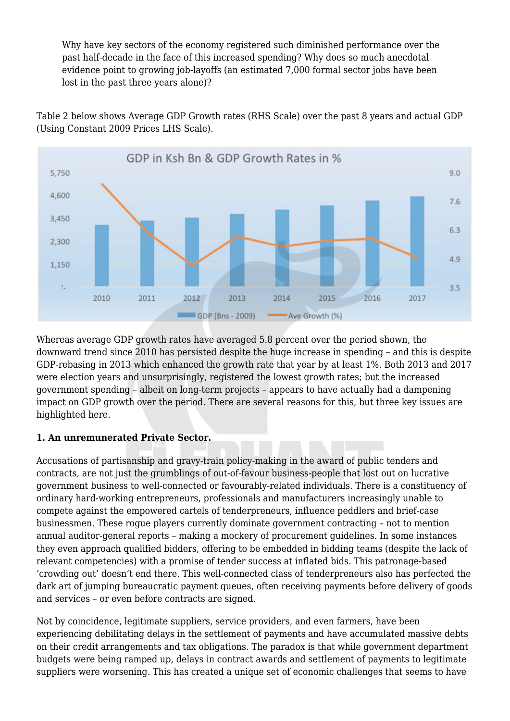Why have key sectors of the economy registered such diminished performance over the past half-decade in the face of this increased spending? Why does so much anecdotal evidence point to growing job-layoffs (an estimated 7,000 formal sector jobs have been lost in the past three years alone)?

Table 2 below shows Average GDP Growth rates (RHS Scale) over the past 8 years and actual GDP (Using Constant 2009 Prices LHS Scale).



Whereas average GDP growth rates have averaged 5.8 percent over the period shown, the downward trend since 2010 has persisted despite the huge increase in spending – and this is despite GDP-rebasing in 2013 which enhanced the growth rate that year by at least 1%. Both 2013 and 2017 were election years and unsurprisingly, registered the lowest growth rates; but the increased government spending – albeit on long-term projects – appears to have actually had a dampening impact on GDP growth over the period. There are several reasons for this, but three key issues are highlighted here.

# **1. An unremunerated Private Sector.**

Accusations of partisanship and gravy-train policy-making in the award of public tenders and contracts, are not just the grumblings of out-of-favour business-people that lost out on lucrative government business to well-connected or favourably-related individuals. There is a constituency of ordinary hard-working entrepreneurs, professionals and manufacturers increasingly unable to compete against the empowered cartels of tenderpreneurs, influence peddlers and brief-case businessmen. These rogue players currently dominate government contracting – not to mention annual auditor-general reports – making a mockery of procurement guidelines. In some instances they even approach qualified bidders, offering to be embedded in bidding teams (despite the lack of relevant competencies) with a promise of tender success at inflated bids. This patronage-based 'crowding out' doesn't end there. This well-connected class of tenderpreneurs also has perfected the dark art of jumping bureaucratic payment queues, often receiving payments before delivery of goods and services – or even before contracts are signed.

Not by coincidence, legitimate suppliers, service providers, and even farmers, have been experiencing debilitating delays in the settlement of payments and have accumulated massive debts on their credit arrangements and tax obligations. The paradox is that while government department budgets were being ramped up, delays in contract awards and settlement of payments to legitimate suppliers were worsening. This has created a unique set of economic challenges that seems to have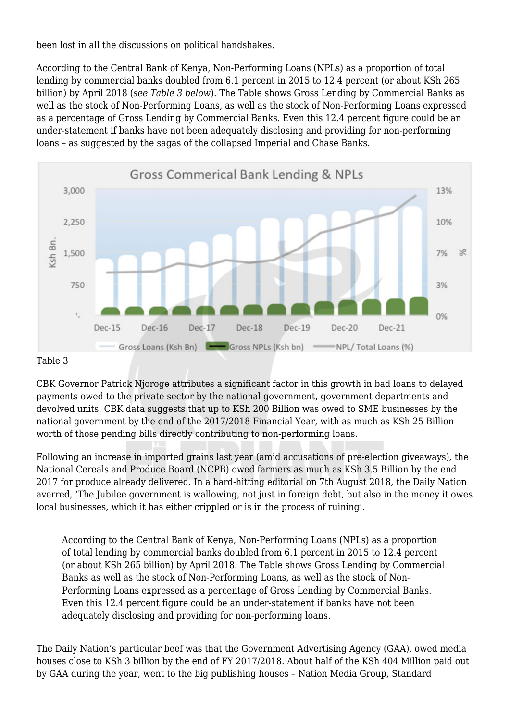been lost in all the discussions on political handshakes.

According to the Central Bank of Kenya, Non-Performing Loans (NPLs) as a proportion of total lending by commercial banks doubled from 6.1 percent in 2015 to 12.4 percent (or about KSh 265 billion) by April 2018 (*see Table 3 below*). The Table shows Gross Lending by Commercial Banks as well as the stock of Non-Performing Loans, as well as the stock of Non-Performing Loans expressed as a percentage of Gross Lending by Commercial Banks. Even this 12.4 percent figure could be an under-statement if banks have not been adequately disclosing and providing for non-performing loans – as suggested by the sagas of the collapsed Imperial and Chase Banks.



#### Table 3

CBK Governor Patrick Njoroge attributes a significant factor in this growth in bad loans to delayed payments owed to the private sector by the national government, government departments and devolved units. CBK data suggests that up to KSh 200 Billion was owed to SME businesses by the national government by the end of the 2017/2018 Financial Year, with as much as KSh 25 Billion worth of those pending bills directly contributing to non-performing loans.

Following an increase in imported grains last year (amid accusations of pre-election giveaways), the National Cereals and Produce Board (NCPB) owed farmers as much as KSh 3.5 Billion by the end 2017 for produce already delivered. In a hard-hitting editorial on 7th August 2018, the Daily Nation averred, 'The Jubilee government is wallowing, not just in foreign debt, but also in the money it owes local businesses, which it has either crippled or is in the process of ruining'.

According to the Central Bank of Kenya, Non-Performing Loans (NPLs) as a proportion of total lending by commercial banks doubled from 6.1 percent in 2015 to 12.4 percent (or about KSh 265 billion) by April 2018. The Table shows Gross Lending by Commercial Banks as well as the stock of Non-Performing Loans, as well as the stock of Non-Performing Loans expressed as a percentage of Gross Lending by Commercial Banks. Even this 12.4 percent figure could be an under-statement if banks have not been adequately disclosing and providing for non-performing loans.

The Daily Nation's particular beef was that the Government Advertising Agency (GAA), owed media houses close to KSh 3 billion by the end of FY 2017/2018. About half of the KSh 404 Million paid out by GAA during the year, went to the big publishing houses – Nation Media Group, Standard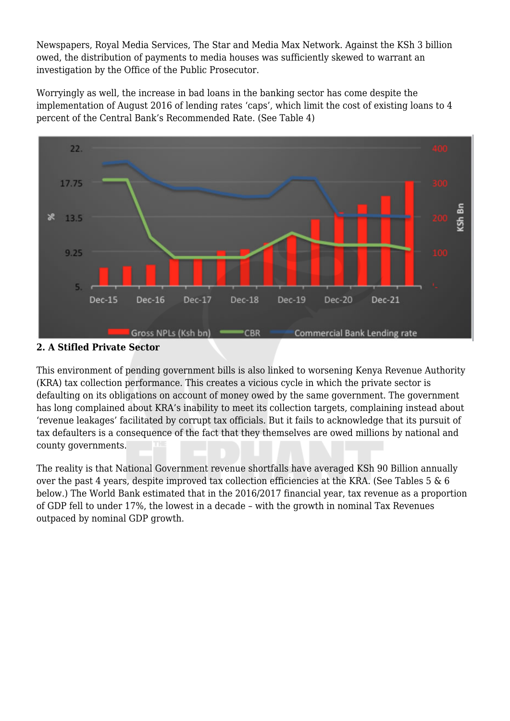Newspapers, Royal Media Services, The Star and Media Max Network. Against the KSh 3 billion owed, the distribution of payments to media houses was sufficiently skewed to warrant an investigation by the Office of the Public Prosecutor.

Worryingly as well, the increase in bad loans in the banking sector has come despite the implementation of August 2016 of lending rates 'caps', which limit the cost of existing loans to 4 percent of the Central Bank's Recommended Rate. (See Table 4)



# **2. A Stifled Private Sector**

This environment of pending government bills is also linked to worsening Kenya Revenue Authority (KRA) tax collection performance. This creates a vicious cycle in which the private sector is defaulting on its obligations on account of money owed by the same government. The government has long complained about KRA's inability to meet its collection targets, complaining instead about 'revenue leakages' facilitated by corrupt tax officials. But it fails to acknowledge that its pursuit of tax defaulters is a consequence of the fact that they themselves are owed millions by national and county governments.

The reality is that National Government revenue shortfalls have averaged KSh 90 Billion annually over the past 4 years, despite improved tax collection efficiencies at the KRA. (See Tables 5 & 6 below.) The World Bank estimated that in the 2016/2017 financial year, tax revenue as a proportion of GDP fell to under 17%, the lowest in a decade – with the growth in nominal Tax Revenues outpaced by nominal GDP growth.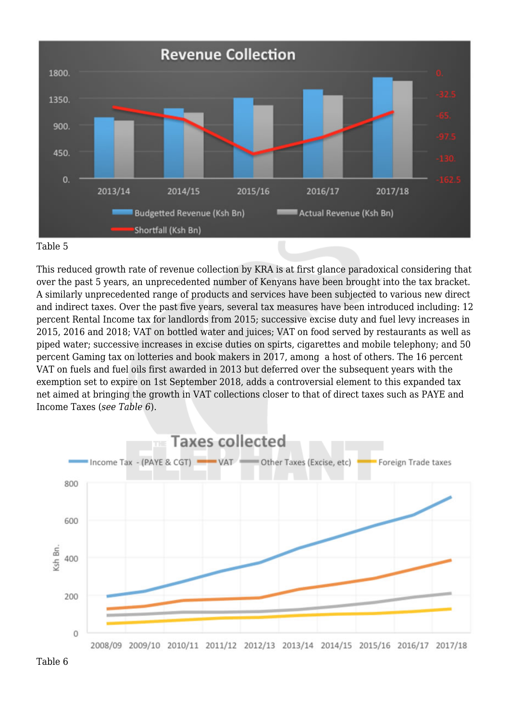

#### Table 5

This reduced growth rate of revenue collection by KRA is at first glance paradoxical considering that over the past 5 years, an unprecedented number of Kenyans have been brought into the tax bracket. A similarly unprecedented range of products and services have been subjected to various new direct and indirect taxes. Over the past five years, several tax measures have been introduced including: 12 percent Rental Income tax for landlords from 2015; successive excise duty and fuel levy increases in 2015, 2016 and 2018; VAT on bottled water and juices; VAT on food served by restaurants as well as piped water; successive increases in excise duties on spirts, cigarettes and mobile telephony; and 50 percent Gaming tax on lotteries and book makers in 2017, among a host of others. The 16 percent VAT on fuels and fuel oils first awarded in 2013 but deferred over the subsequent years with the exemption set to expire on 1st September 2018, adds a controversial element to this expanded tax net aimed at bringing the growth in VAT collections closer to that of direct taxes such as PAYE and Income Taxes (*see Table 6*).

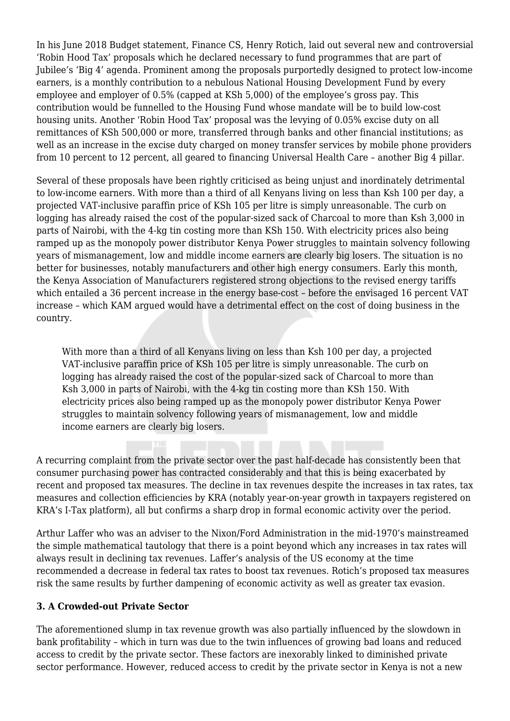In his June 2018 Budget statement, Finance CS, Henry Rotich, laid out several new and controversial 'Robin Hood Tax' proposals which he declared necessary to fund programmes that are part of Jubilee's 'Big 4' agenda. Prominent among the proposals purportedly designed to protect low-income earners, is a monthly contribution to a nebulous National Housing Development Fund by every employee and employer of 0.5% (capped at KSh 5,000) of the employee's gross pay. This contribution would be funnelled to the Housing Fund whose mandate will be to build low-cost housing units. Another 'Robin Hood Tax' proposal was the levying of 0.05% excise duty on all remittances of KSh 500,000 or more, transferred through banks and other financial institutions; as well as an increase in the excise duty charged on money transfer services by mobile phone providers from 10 percent to 12 percent, all geared to financing Universal Health Care – another Big 4 pillar.

Several of these proposals have been rightly criticised as being unjust and inordinately detrimental to low-income earners. With more than a third of all Kenyans living on less than Ksh 100 per day, a projected VAT-inclusive paraffin price of KSh 105 per litre is simply unreasonable. The curb on logging has already raised the cost of the popular-sized sack of Charcoal to more than Ksh 3,000 in parts of Nairobi, with the 4-kg tin costing more than KSh 150. With electricity prices also being ramped up as the monopoly power distributor Kenya Power struggles to maintain solvency following years of mismanagement, low and middle income earners are clearly big losers. The situation is no better for businesses, notably manufacturers and other high energy consumers. Early this month, the Kenya Association of Manufacturers registered strong objections to the revised energy tariffs which entailed a 36 percent increase in the energy base-cost – before the envisaged 16 percent VAT increase – which KAM argued would have a detrimental effect on the cost of doing business in the country.

With more than a third of all Kenyans living on less than Ksh 100 per day, a projected VAT-inclusive paraffin price of KSh 105 per litre is simply unreasonable. The curb on logging has already raised the cost of the popular-sized sack of Charcoal to more than Ksh 3,000 in parts of Nairobi, with the 4-kg tin costing more than KSh 150. With electricity prices also being ramped up as the monopoly power distributor Kenya Power struggles to maintain solvency following years of mismanagement, low and middle income earners are clearly big losers.

A recurring complaint from the private sector over the past half-decade has consistently been that consumer purchasing power has contracted considerably and that this is being exacerbated by recent and proposed tax measures. The decline in tax revenues despite the increases in tax rates, tax measures and collection efficiencies by KRA (notably year-on-year growth in taxpayers registered on KRA's I-Tax platform), all but confirms a sharp drop in formal economic activity over the period.

Arthur Laffer who was an adviser to the Nixon/Ford Administration in the mid-1970's mainstreamed the simple mathematical tautology that there is a point beyond which any increases in tax rates will always result in declining tax revenues. Laffer's analysis of the US economy at the time recommended a decrease in federal tax rates to boost tax revenues. Rotich's proposed tax measures risk the same results by further dampening of economic activity as well as greater tax evasion.

# **3. A Crowded-out Private Sector**

The aforementioned slump in tax revenue growth was also partially influenced by the slowdown in bank profitability – which in turn was due to the twin influences of growing bad loans and reduced access to credit by the private sector. These factors are inexorably linked to diminished private sector performance. However, reduced access to credit by the private sector in Kenya is not a new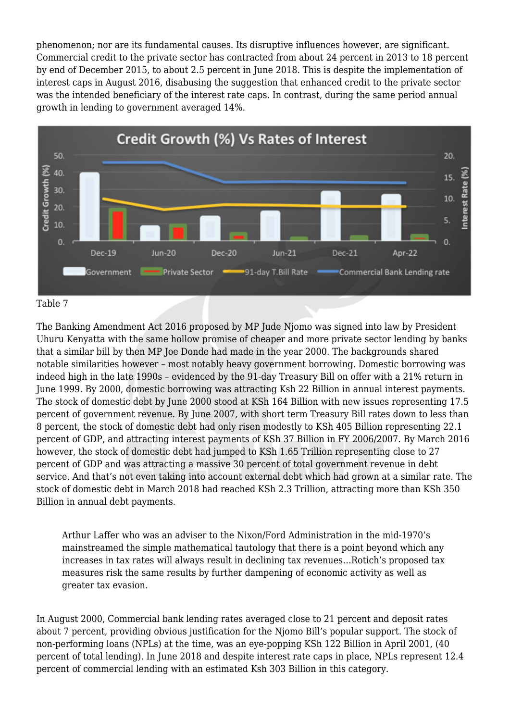phenomenon; nor are its fundamental causes. Its disruptive influences however, are significant. Commercial credit to the private sector has contracted from about 24 percent in 2013 to 18 percent by end of December 2015, to about 2.5 percent in June 2018. This is despite the implementation of interest caps in August 2016, disabusing the suggestion that enhanced credit to the private sector was the intended beneficiary of the interest rate caps. In contrast, during the same period annual growth in lending to government averaged 14%.





The Banking Amendment Act 2016 proposed by MP Jude Njomo was signed into law by President Uhuru Kenyatta with the same hollow promise of cheaper and more private sector lending by banks that a similar bill by then MP Joe Donde had made in the year 2000. The backgrounds shared notable similarities however – most notably heavy government borrowing. Domestic borrowing was indeed high in the late 1990s – evidenced by the 91-day Treasury Bill on offer with a 21% return in June 1999. By 2000, domestic borrowing was attracting Ksh 22 Billion in annual interest payments. The stock of domestic debt by June 2000 stood at KSh 164 Billion with new issues representing 17.5 percent of government revenue. By June 2007, with short term Treasury Bill rates down to less than 8 percent, the stock of domestic debt had only risen modestly to KSh 405 Billion representing 22.1 percent of GDP, and attracting interest payments of KSh 37 Billion in FY 2006/2007. By March 2016 however, the stock of domestic debt had jumped to KSh 1.65 Trillion representing close to 27 percent of GDP and was attracting a massive 30 percent of total government revenue in debt service. And that's not even taking into account external debt which had grown at a similar rate. The stock of domestic debt in March 2018 had reached KSh 2.3 Trillion, attracting more than KSh 350 Billion in annual debt payments.

Arthur Laffer who was an adviser to the Nixon/Ford Administration in the mid-1970's mainstreamed the simple mathematical tautology that there is a point beyond which any increases in tax rates will always result in declining tax revenues…Rotich's proposed tax measures risk the same results by further dampening of economic activity as well as greater tax evasion.

In August 2000, Commercial bank lending rates averaged close to 21 percent and deposit rates about 7 percent, providing obvious justification for the Njomo Bill's popular support. The stock of non-performing loans (NPLs) at the time, was an eye-popping KSh 122 Billion in April 2001, (40 percent of total lending). In June 2018 and despite interest rate caps in place, NPLs represent 12.4 percent of commercial lending with an estimated Ksh 303 Billion in this category.